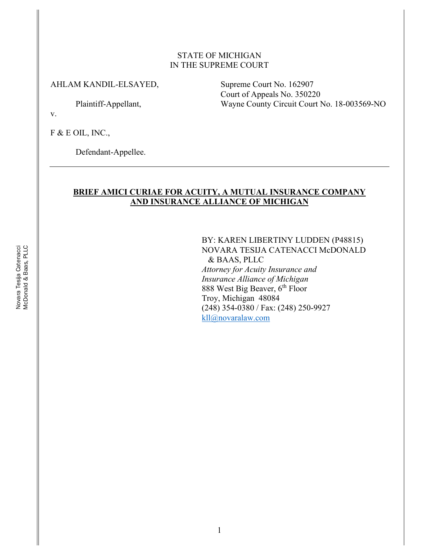#### STATE OF MICHIGAN IN THE SUPREME COURT

#### AHLAM KANDIL-ELSAYED, Supreme Court No. 162907

Court of Appeals No. 350220 Plaintiff-Appellant, Wayne County Circuit Court No. 18-003569-NO

v.

F & E OIL, INC.,

Defendant-Appellee.

#### **BRIEF AMICI CURIAE FOR ACUITY, A MUTUAL INSURANCE COMPANY AND INSURANCE ALLIANCE OF MICHIGAN**

BY: KAREN LIBERTINY LUDDEN (P48815) NOVARA TESIJA CATENACCI McDONALD & BAAS, PLLC *Attorney for Acuity Insurance and Insurance Alliance of Michigan* 888 West Big Beaver, 6<sup>th</sup> Floor Troy, Michigan 48084 (248) 354-0380 / Fax: (248) 250-9927 kll@novaralaw.com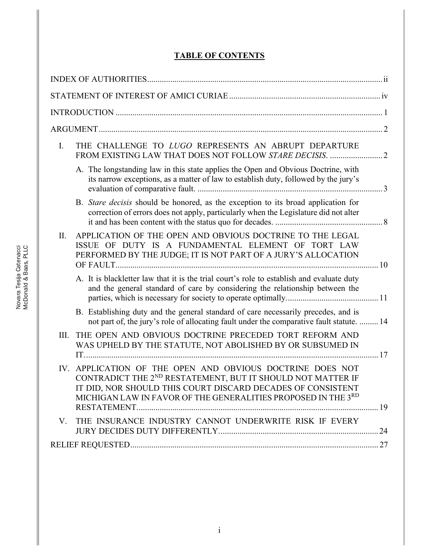# **TABLE OF CONTENTS**

| $\mathbf{I}$ .<br>THE CHALLENGE TO LUGO REPRESENTS AN ABRUPT DEPARTURE                                                                                                                                                                                                  |  |  |  |
|-------------------------------------------------------------------------------------------------------------------------------------------------------------------------------------------------------------------------------------------------------------------------|--|--|--|
| A. The longstanding law in this state applies the Open and Obvious Doctrine, with<br>its narrow exceptions, as a matter of law to establish duty, followed by the jury's                                                                                                |  |  |  |
| B. Stare decisis should be honored, as the exception to its broad application for<br>correction of errors does not apply, particularly when the Legislature did not alter                                                                                               |  |  |  |
| APPLICATION OF THE OPEN AND OBVIOUS DOCTRINE TO THE LEGAL<br>II.<br>ISSUE OF DUTY IS A FUNDAMENTAL ELEMENT OF TORT LAW<br>PERFORMED BY THE JUDGE; IT IS NOT PART OF A JURY'S ALLOCATION                                                                                 |  |  |  |
| A. It is blackletter law that it is the trial court's role to establish and evaluate duty<br>and the general standard of care by considering the relationship between the                                                                                               |  |  |  |
| B. Establishing duty and the general standard of care necessarily precedes, and is<br>not part of, the jury's role of allocating fault under the comparative fault statute.  14                                                                                         |  |  |  |
| THE OPEN AND OBVIOUS DOCTRINE PRECEDED TORT REFORM AND<br>III.<br>WAS UPHELD BY THE STATUTE, NOT ABOLISHED BY OR SUBSUMED IN                                                                                                                                            |  |  |  |
| APPLICATION OF THE OPEN AND OBVIOUS DOCTRINE DOES NOT<br>IV.<br>CONTRADICT THE 2 <sup>ND</sup> RESTATEMENT, BUT IT SHOULD NOT MATTER IF<br>IT DID, NOR SHOULD THIS COURT DISCARD DECADES OF CONSISTENT<br>MICHIGAN LAW IN FAVOR OF THE GENERALITIES PROPOSED IN THE 3RD |  |  |  |
| V. THE INSURANCE INDUSTRY CANNOT UNDERWRITE RISK IF EVERY                                                                                                                                                                                                               |  |  |  |
|                                                                                                                                                                                                                                                                         |  |  |  |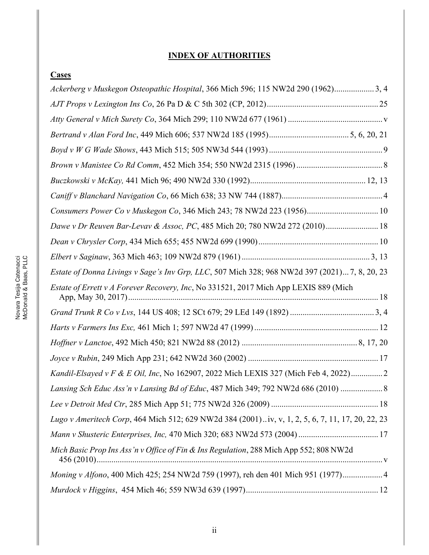# **INDEX OF AUTHORITIES**

| Cases                                                                                            |
|--------------------------------------------------------------------------------------------------|
| Ackerberg v Muskegon Osteopathic Hospital, 366 Mich 596; 115 NW2d 290 (1962)3, 4                 |
|                                                                                                  |
|                                                                                                  |
|                                                                                                  |
|                                                                                                  |
|                                                                                                  |
|                                                                                                  |
|                                                                                                  |
| Consumers Power Co v Muskegon Co, 346 Mich 243; 78 NW2d 223 (1956) 10                            |
| Dawe v Dr Reuven Bar-Levav & Assoc, PC, 485 Mich 20; 780 NW2d 272 (2010) 18                      |
|                                                                                                  |
|                                                                                                  |
| Estate of Donna Livings v Sage's Inv Grp, LLC, 507 Mich 328; 968 NW2d 397 (2021) 7, 8, 20, 23    |
| Estate of Errett v A Forever Recovery, Inc, No 331521, 2017 Mich App LEXIS 889 (Mich             |
|                                                                                                  |
|                                                                                                  |
|                                                                                                  |
|                                                                                                  |
| Kandil-Elsayed v F & E Oil, Inc, No 162907, 2022 Mich LEXIS 327 (Mich Feb 4, 2022) 2             |
| Lansing Sch Educ Ass'n v Lansing Bd of Educ, 487 Mich 349; 792 NW2d 686 (2010)                   |
|                                                                                                  |
| Lugo v Ameritech Corp, 464 Mich 512; 629 NW2d 384 (2001)iv, v, 1, 2, 5, 6, 7, 11, 17, 20, 22, 23 |
|                                                                                                  |
| Mich Basic Prop Ins Ass'n v Office of Fin & Ins Regulation, 288 Mich App 552; 808 NW2d           |
| Moning v Alfono, 400 Mich 425; 254 NW2d 759 (1997), reh den 401 Mich 951 (1977) 4                |
|                                                                                                  |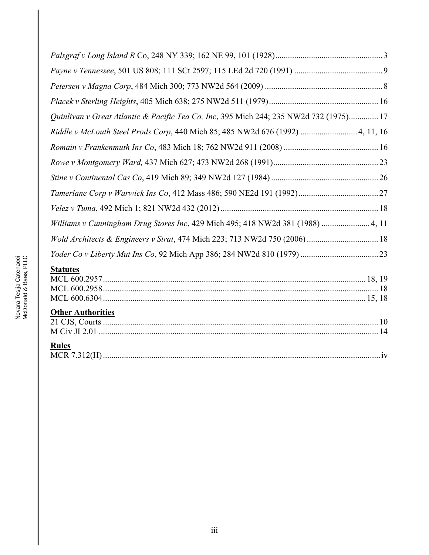| Quinlivan v Great Atlantic & Pacific Tea Co, Inc, 395 Mich 244; 235 NW2d 732 (1975) 17<br>Riddle v McLouth Steel Prods Corp, 440 Mich 85; 485 NW2d 676 (1992)  4, 11, 16<br>Williams v Cunningham Drug Stores Inc, 429 Mich 495; 418 NW2d 381 (1988)  4, 11<br>Wold Architects & Engineers v Strat, 474 Mich 223; 713 NW2d 750 (2006) 18<br><b>Statutes</b> |  |
|-------------------------------------------------------------------------------------------------------------------------------------------------------------------------------------------------------------------------------------------------------------------------------------------------------------------------------------------------------------|--|
|                                                                                                                                                                                                                                                                                                                                                             |  |
|                                                                                                                                                                                                                                                                                                                                                             |  |
|                                                                                                                                                                                                                                                                                                                                                             |  |
|                                                                                                                                                                                                                                                                                                                                                             |  |
|                                                                                                                                                                                                                                                                                                                                                             |  |
|                                                                                                                                                                                                                                                                                                                                                             |  |
|                                                                                                                                                                                                                                                                                                                                                             |  |
|                                                                                                                                                                                                                                                                                                                                                             |  |
|                                                                                                                                                                                                                                                                                                                                                             |  |
|                                                                                                                                                                                                                                                                                                                                                             |  |
|                                                                                                                                                                                                                                                                                                                                                             |  |
|                                                                                                                                                                                                                                                                                                                                                             |  |
|                                                                                                                                                                                                                                                                                                                                                             |  |
|                                                                                                                                                                                                                                                                                                                                                             |  |
|                                                                                                                                                                                                                                                                                                                                                             |  |

# **Other Authorities**

| $\sim$ . The residence of $\sim$ |  |
|----------------------------------|--|
|                                  |  |
|                                  |  |
| <b>Rules</b>                     |  |
|                                  |  |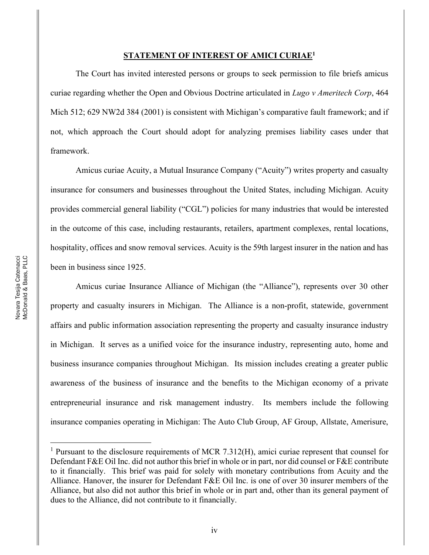#### **STATEMENT OF INTEREST OF AMICI CURIAE1**

The Court has invited interested persons or groups to seek permission to file briefs amicus curiae regarding whether the Open and Obvious Doctrine articulated in *Lugo v Ameritech Corp*, 464 Mich 512; 629 NW2d 384 (2001) is consistent with Michigan's comparative fault framework; and if not, which approach the Court should adopt for analyzing premises liability cases under that framework.

Amicus curiae Acuity, a Mutual Insurance Company ("Acuity") writes property and casualty insurance for consumers and businesses throughout the United States, including Michigan. Acuity provides commercial general liability ("CGL") policies for many industries that would be interested in the outcome of this case, including restaurants, retailers, apartment complexes, rental locations, hospitality, offices and snow removal services. Acuity is the 59th largest insurer in the nation and has been in business since 1925.

Amicus curiae Insurance Alliance of Michigan (the "Alliance"), represents over 30 other property and casualty insurers in Michigan. The Alliance is a non-profit, statewide, government affairs and public information association representing the property and casualty insurance industry in Michigan. It serves as a unified voice for the insurance industry, representing auto, home and business insurance companies throughout Michigan. Its mission includes creating a greater public awareness of the business of insurance and the benefits to the Michigan economy of a private entrepreneurial insurance and risk management industry. Its members include the following insurance companies operating in Michigan: The Auto Club Group, AF Group, Allstate, Amerisure,

<sup>&</sup>lt;sup>1</sup> Pursuant to the disclosure requirements of MCR 7.312(H), amici curiae represent that counsel for Defendant F&E Oil Inc. did not author this brief in whole or in part, nor did counsel or F&E contribute to it financially. This brief was paid for solely with monetary contributions from Acuity and the Alliance. Hanover, the insurer for Defendant F&E Oil Inc. is one of over 30 insurer members of the Alliance, but also did not author this brief in whole or in part and, other than its general payment of dues to the Alliance, did not contribute to it financially.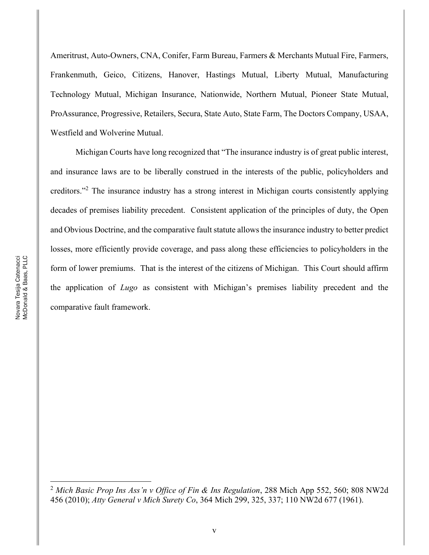Ameritrust, Auto-Owners, CNA, Conifer, Farm Bureau, Farmers & Merchants Mutual Fire, Farmers, Frankenmuth, Geico, Citizens, Hanover, Hastings Mutual, Liberty Mutual, Manufacturing Technology Mutual, Michigan Insurance, Nationwide, Northern Mutual, Pioneer State Mutual, ProAssurance, Progressive, Retailers, Secura, State Auto, State Farm, The Doctors Company, USAA, Westfield and Wolverine Mutual.

Michigan Courts have long recognized that "The insurance industry is of great public interest, and insurance laws are to be liberally construed in the interests of the public, policyholders and creditors.<sup>"2</sup> The insurance industry has a strong interest in Michigan courts consistently applying decades of premises liability precedent. Consistent application of the principles of duty, the Open and Obvious Doctrine, and the comparative fault statute allows the insurance industry to better predict losses, more efficiently provide coverage, and pass along these efficiencies to policyholders in the form of lower premiums. That is the interest of the citizens of Michigan. This Court should affirm the application of *Lugo* as consistent with Michigan's premises liability precedent and the comparative fault framework.

<sup>2</sup> *Mich Basic Prop Ins Ass¶n v Office of Fin & Ins Regulation*, 288 Mich App 552, 560; 808 NW2d 456 (2010); *Atty General v Mich Surety Co*, 364 Mich 299, 325, 337; 110 NW2d 677 (1961).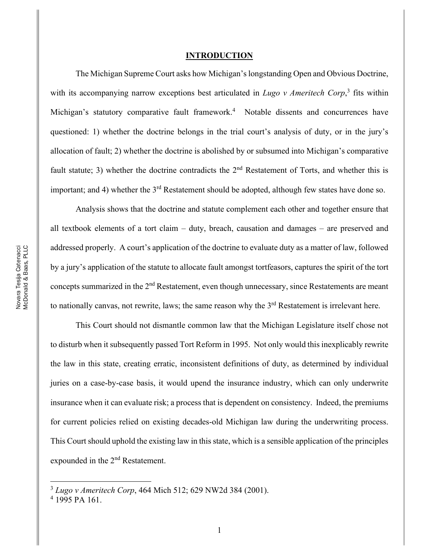#### **INTRODUCTION**

The Michigan Supreme Court asks how Michigan's longstanding Open and Obvious Doctrine, with its accompanying narrow exceptions best articulated in *Lugo v Ameritech Corp*, <sup>3</sup> fits within Michigan's statutory comparative fault framework.<sup>4</sup> Notable dissents and concurrences have questioned: 1) whether the doctrine belongs in the trial court's analysis of duty, or in the jury's allocation of fault; 2) whether the doctrine is abolished by or subsumed into Michigan's comparative fault statute; 3) whether the doctrine contradicts the  $2<sup>nd</sup>$  Restatement of Torts, and whether this is important; and 4) whether the 3<sup>rd</sup> Restatement should be adopted, although few states have done so.

Analysis shows that the doctrine and statute complement each other and together ensure that all textbook elements of a tort claim  $-$  duty, breach, causation and damages  $-$  are preserved and addressed properly. A court's application of the doctrine to evaluate duty as a matter of law, followed by a jury's application of the statute to allocate fault amongst tortfeasors, captures the spirit of the tort concepts summarized in the 2nd Restatement, even though unnecessary, since Restatements are meant to nationally canvas, not rewrite, laws; the same reason why the 3<sup>rd</sup> Restatement is irrelevant here.

This Court should not dismantle common law that the Michigan Legislature itself chose not to disturb when it subsequently passed Tort Reform in 1995. Not only would this inexplicably rewrite the law in this state, creating erratic, inconsistent definitions of duty, as determined by individual juries on a case-by-case basis, it would upend the insurance industry, which can only underwrite insurance when it can evaluate risk; a process that is dependent on consistency. Indeed, the premiums for current policies relied on existing decades-old Michigan law during the underwriting process. This Court should uphold the existing law in this state, which is a sensible application of the principles expounded in the 2nd Restatement.

<sup>3</sup> *Lugo v Ameritech Corp*, 464 Mich 512; 629 NW2d 384 (2001).

<sup>4</sup> 1995 PA 161.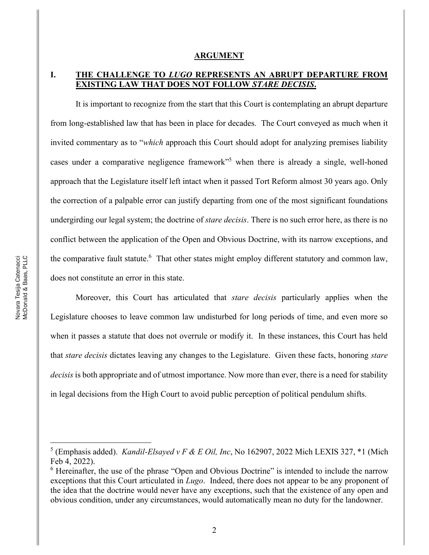#### **ARGUMENT**

### **I. THE CHALLENGE TO** *LUGO* **REPRESENTS AN ABRUPT DEPARTURE FROM EXISTING LAW THAT DOES NOT FOLLOW** *STARE DECISIS***.**

It is important to recognize from the start that this Court is contemplating an abrupt departure from long-established law that has been in place for decades. The Court conveyed as much when it invited commentary as to "*which* approach this Court should adopt for analyzing premises liability cases under a comparative negligence framework<sup>55</sup> when there is already a single, well-honed approach that the Legislature itself left intact when it passed Tort Reform almost 30 years ago. Only the correction of a palpable error can justify departing from one of the most significant foundations undergirding our legal system; the doctrine of *stare decisis*. There is no such error here, as there is no conflict between the application of the Open and Obvious Doctrine, with its narrow exceptions, and the comparative fault statute.<sup>6</sup> That other states might employ different statutory and common law, does not constitute an error in this state.

Moreover, this Court has articulated that *stare decisis* particularly applies when the Legislature chooses to leave common law undisturbed for long periods of time, and even more so when it passes a statute that does not overrule or modify it. In these instances, this Court has held that *stare decisis* dictates leaving any changes to the Legislature. Given these facts, honoring *stare decisis* is both appropriate and of utmost importance. Now more than ever, there is a need for stability in legal decisions from the High Court to avoid public perception of political pendulum shifts.

<sup>5</sup> (Emphasis added). *Kandil-Elsayed v F & E Oil, Inc*, No 162907, 2022 Mich LEXIS 327, \*1 (Mich Feb 4, 2022).

 $6$  Hereinafter, the use of the phrase "Open and Obvious Doctrine" is intended to include the narrow exceptions that this Court articulated in *Lugo*. Indeed, there does not appear to be any proponent of the idea that the doctrine would never have any exceptions, such that the existence of any open and obvious condition, under any circumstances, would automatically mean no duty for the landowner.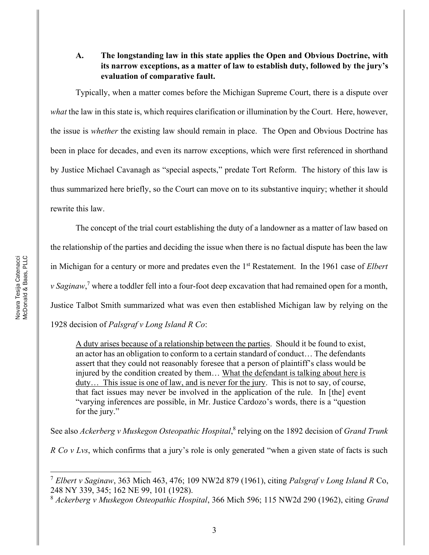### **A. The longstanding law in this state applies the Open and Obvious Doctrine, with its narrow exceptions, as a matter of law to establish duty, followed by the jury's evaluation of comparative fault.**

Typically, when a matter comes before the Michigan Supreme Court, there is a dispute over *what* the law in this state is, which requires clarification or illumination by the Court. Here, however, the issue is *whether* the existing law should remain in place. The Open and Obvious Doctrine has been in place for decades, and even its narrow exceptions, which were first referenced in shorthand by Justice Michael Cavanagh as "special aspects," predate Tort Reform. The history of this law is thus summarized here briefly, so the Court can move on to its substantive inquiry; whether it should rewrite this law.

The concept of the trial court establishing the duty of a landowner as a matter of law based on the relationship of the parties and deciding the issue when there is no factual dispute has been the law in Michigan for a century or more and predates even the 1st Restatement. In the 1961 case of *Elbert v Saginaw*, <sup>7</sup> where a toddler fell into a four-foot deep excavation that had remained open for a month, Justice Talbot Smith summarized what was even then established Michigan law by relying on the 1928 decision of *Palsgraf v Long Island R Co*:

A duty arises because of a relationship between the parties. Should it be found to exist, an actor has an obligation to conform to a certain standard of conduct... The defendants assert that they could not reasonably foresee that a person of plaintiff's class would be injured by the condition created by them... What the defendant is talking about here is duty... This issue is one of law, and is never for the jury. This is not to say, of course, that fact issues may never be involved in the application of the rule. In [the] event "varying inferences are possible, in Mr. Justice Cardozo's words, there is a "question" for the jury."

See also *Ackerberg v Muskegon Osteopathic Hospital*, <sup>8</sup> relying on the 1892 decision of *Grand Trunk* 

*R Co v Lvs*, which confirms that a jury's role is only generated "when a given state of facts is such

<sup>7</sup> *Elbert v Saginaw*, 363 Mich 463, 476; 109 NW2d 879 (1961), citing *Palsgraf v Long Island R* Co, 248 NY 339, 345; 162 NE 99, 101 (1928).

<sup>8</sup> *Ackerberg v Muskegon Osteopathic Hospital*, 366 Mich 596; 115 NW2d 290 (1962), citing *Grand*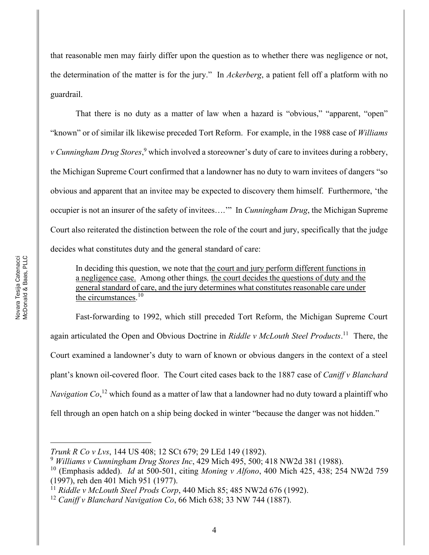that reasonable men may fairly differ upon the question as to whether there was negligence or not, the determination of the matter is for the jury.´ In *Ackerberg*, a patient fell off a platform with no guardrail.

That there is no duty as a matter of law when a hazard is "obvious," "apparent, "open" "known" or of similar ilk likewise preceded Tort Reform. For example, in the 1988 case of *Williams v Cunningham Drug Stores*, <sup>9</sup> which involved a storeowner's duty of care to invitees during a robbery, the Michigan Supreme Court confirmed that a landowner has no duty to warn invitees of dangers "so obvious and apparent that an invitee may be expected to discovery them himself. Furthermore, 'the occupier is not an insurer of the safety of invitees...." In *Cunningham Drug*, the Michigan Supreme Court also reiterated the distinction between the role of the court and jury, specifically that the judge decides what constitutes duty and the general standard of care:

In deciding this question, we note that the court and jury perform different functions in a negligence case.Among other things*,* the court decides the questions of duty and the general standard of care, and the jury determines what constitutes reasonable care under the circumstances.<sup>10</sup>

Fast-forwarding to 1992, which still preceded Tort Reform, the Michigan Supreme Court again articulated the Open and Obvious Doctrine in *Riddle v McLouth Steel Products*. 11 There, the Court examined a landowner's duty to warn of known or obvious dangers in the context of a steel plant's known oil-covered floor. The Court cited cases back to the 1887 case of *Caniff v Blanchard Navigation Co*, <sup>12</sup> which found as a matter of law that a landowner had no duty toward a plaintiff who fell through an open hatch on a ship being docked in winter "because the danger was not hidden."

*Trunk R Co v Lvs*, 144 US 408; 12 SCt 679; 29 LEd 149 (1892).

<sup>9</sup> *Williams v Cunningham Drug Stores Inc*, 429 Mich 495, 500; 418 NW2d 381 (1988).

<sup>10</sup> (Emphasis added). *Id* at 500-501, citing *Moning v Alfono*, 400 Mich 425, 438; 254 NW2d 759 (1997), reh den 401 Mich 951 (1977).

<sup>11</sup> *Riddle v McLouth Steel Prods Corp*, 440 Mich 85; 485 NW2d 676 (1992).

<sup>12</sup> *Caniff v Blanchard Navigation Co*, 66 Mich 638; 33 NW 744 (1887).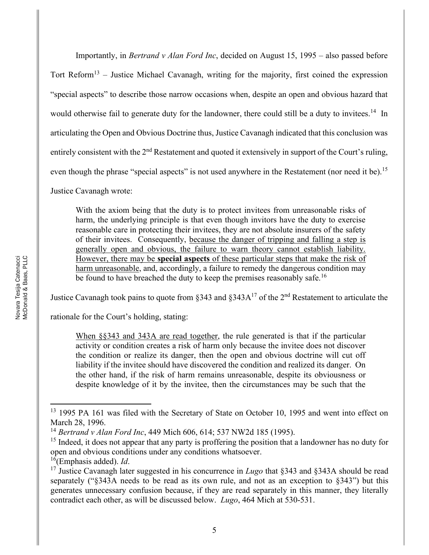Importantly, in *Bertrand v Alan Ford Inc*, decided on August 15, 1995 – also passed before Tort Reform<sup>13</sup> – Justice Michael Cavanagh, writing for the majority, first coined the expression "special aspects" to describe those narrow occasions when, despite an open and obvious hazard that would otherwise fail to generate duty for the landowner, there could still be a duty to invitees.<sup>14</sup> In articulating the Open and Obvious Doctrine thus, Justice Cavanagh indicated that this conclusion was entirely consistent with the  $2<sup>nd</sup>$  Restatement and quoted it extensively in support of the Court's ruling, even though the phrase "special aspects" is not used anywhere in the Restatement (nor need it be).<sup>15</sup>

Justice Cavanagh wrote:

With the axiom being that the duty is to protect invitees from unreasonable risks of harm, the underlying principle is that even though invitors have the duty to exercise reasonable care in protecting their invitees, they are not absolute insurers of the safety of their invitees. Consequently, because the danger of tripping and falling a step is generally open and obvious, the failure to warn theory cannot establish liability. However, there may be **special aspects** of these particular steps that make the risk of harm unreasonable, and, accordingly, a failure to remedy the dangerous condition may be found to have breached the duty to keep the premises reasonably safe.<sup>16</sup>

Justice Cavanagh took pains to quote from §343 and §343 $A^{17}$  of the 2<sup>nd</sup> Restatement to articulate the

rationale for the Court's holding, stating:

When §§343 and 343A are read together, the rule generated is that if the particular activity or condition creates a risk of harm only because the invitee does not discover the condition or realize its danger, then the open and obvious doctrine will cut off liability if the invitee should have discovered the condition and realized its danger. On the other hand, if the risk of harm remains unreasonable, despite its obviousness or despite knowledge of it by the invitee, then the circumstances may be such that the

<sup>&</sup>lt;sup>13</sup> 1995 PA 161 was filed with the Secretary of State on October 10, 1995 and went into effect on March 28, 1996.

<sup>14</sup> *Bertrand v Alan Ford Inc*, 449 Mich 606, 614; 537 NW2d 185 (1995).

<sup>&</sup>lt;sup>15</sup> Indeed, it does not appear that any party is proffering the position that a landowner has no duty for open and obvious conditions under any conditions whatsoever.

<sup>16(</sup>Emphasis added). *Id*.

<sup>&</sup>lt;sup>17</sup> Justice Cavanagh later suggested in his concurrence in *Lugo* that §343 and §343A should be read separately (" $\S$ 343A needs to be read as its own rule, and not as an exception to  $\S$ 343") but this generates unnecessary confusion because, if they are read separately in this manner, they literally contradict each other, as will be discussed below. *Lugo*, 464 Mich at 530-531.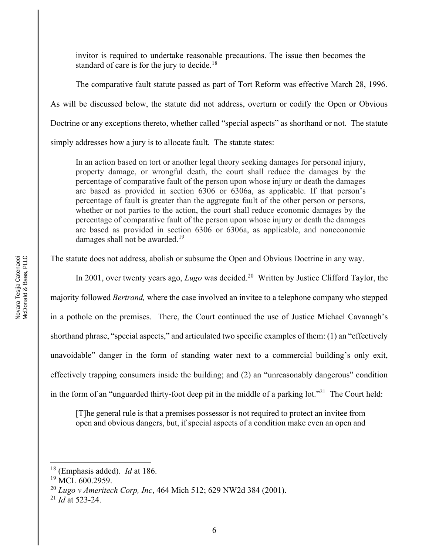invitor is required to undertake reasonable precautions. The issue then becomes the standard of care is for the jury to decide.<sup>18</sup>

The comparative fault statute passed as part of Tort Reform was effective March 28, 1996. As will be discussed below, the statute did not address, overturn or codify the Open or Obvious Doctrine or any exceptions thereto, whether called "special aspects" as shorthand or not. The statute simply addresses how a jury is to allocate fault. The statute states:

In an action based on tort or another legal theory seeking damages for personal injury, property damage, or wrongful death, the court shall reduce the damages by the percentage of comparative fault of the person upon whose injury or death the damages are based as provided in section 6306 or 6306a, as applicable. If that person's percentage of fault is greater than the aggregate fault of the other person or persons, whether or not parties to the action, the court shall reduce economic damages by the percentage of comparative fault of the person upon whose injury or death the damages are based as provided in section 6306 or 6306a, as applicable, and noneconomic damages shall not be awarded.<sup>19</sup>

The statute does not address, abolish or subsume the Open and Obvious Doctrine in any way.

In 2001, over twenty years ago, *Lugo* was decided. 20 Written by Justice Clifford Taylor, the majority followed *Bertrand,* where the case involved an invitee to a telephone company who stepped in a pothole on the premises. There, the Court continued the use of Justice Michael Cavanagh's shorthand phrase, "special aspects," and articulated two specific examples of them:  $(1)$  an "effectively" unavoidable" danger in the form of standing water next to a commercial building's only exit, effectively trapping consumers inside the building; and  $(2)$  an "unreasonably dangerous" condition in the form of an "unguarded thirty-foot deep pit in the middle of a parking lot."<sup>21</sup> The Court held:

[T]he general rule is that a premises possessor is not required to protect an invitee from open and obvious dangers, but, if special aspects of a condition make even an open and

<sup>18</sup> (Emphasis added). *Id* at 186.

 $19$  MCL 600.2959.

<sup>20</sup> *Lugo v Ameritech Corp, Inc*, 464 Mich 512; 629 NW2d 384 (2001).

<sup>21</sup> *Id* at 523-24.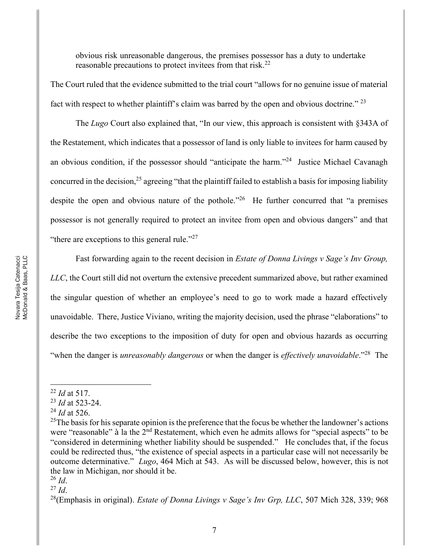obvious risk unreasonable dangerous, the premises possessor has a duty to undertake reasonable precautions to protect invitees from that risk.<sup>22</sup>

The Court ruled that the evidence submitted to the trial court "allows for no genuine issue of material fact with respect to whether plaintiff's claim was barred by the open and obvious doctrine.<sup> $23$ </sup>

The *Lugo* Court also explained that, "In our view, this approach is consistent with §343A of the Restatement, which indicates that a possessor of land is only liable to invitees for harm caused by an obvious condition, if the possessor should "anticipate the harm. $24$  Justice Michael Cavanagh concurred in the decision,<sup>25</sup> agreeing "that the plaintiff failed to establish a basis for imposing liability despite the open and obvious nature of the pothole.<sup> $26$ </sup> He further concurred that "a premises" possessor is not generally required to protect an invitee from open and obvious dangers" and that "there are exceptions to this general rule."<sup>27</sup>

Fast forwarding again to the recent decision in *Estate of Donna Livings v Sage's Inv Group*, *LLC*, the Court still did not overturn the extensive precedent summarized above, but rather examined the singular question of whether an employee's need to go to work made a hazard effectively unavoidable. There, Justice Viviano, writing the majority decision, used the phrase "elaborations" to describe the two exceptions to the imposition of duty for open and obvious hazards as occurring ³when the danger is *unreasonably dangerous* or when the danger is *effectively unavoidable*.´28 The

<sup>27</sup> *Id*.

<sup>22</sup> *Id* at 517.

<sup>23</sup> *Id* at 523-24.

<sup>24</sup> *Id* at 526.

<sup>&</sup>lt;sup>25</sup>The basis for his separate opinion is the preference that the focus be whether the landowner's actions were "reasonable" à la the  $2<sup>nd</sup>$  Restatement, which even he admits allows for "special aspects" to be "considered in determining whether liability should be suspended." He concludes that, if the focus could be redirected thus, "the existence of special aspects in a particular case will not necessarily be outcome determinative." *Lugo*, 464 Mich at 543. As will be discussed below, however, this is not the law in Michigan, nor should it be.

 $^{26}$  *Id.* 

<sup>&</sup>lt;sup>28</sup>(Emphasis in original). *Estate of Donna Livings v Sage's Inv Grp, LLC*, 507 Mich 328, 339; 968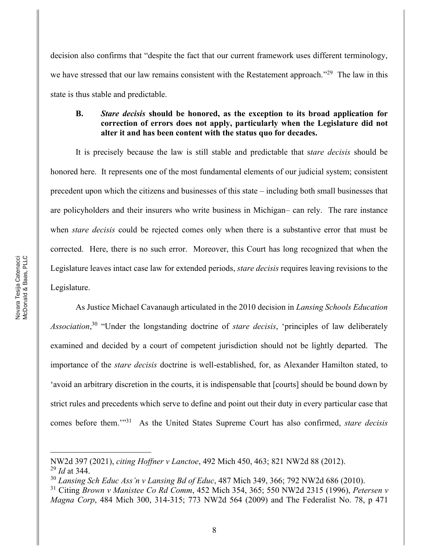decision also confirms that "despite the fact that our current framework uses different terminology, we have stressed that our law remains consistent with the Restatement approach.<sup>329</sup> The law in this state is thus stable and predictable.

#### **B.** *Stare decisis* **should be honored, as the exception to its broad application for correction of errors does not apply, particularly when the Legislature did not alter it and has been content with the status quo for decades.**

It is precisely because the law is still stable and predictable that s*tare decisis* should be honored here. It represents one of the most fundamental elements of our judicial system; consistent precedent upon which the citizens and businesses of this state – including both small businesses that are policyholders and their insurers who write business in Michigan- can rely. The rare instance when *stare decisis* could be rejected comes only when there is a substantive error that must be corrected. Here, there is no such error. Moreover, this Court has long recognized that when the Legislature leaves intact case law for extended periods, *stare decisis* requires leaving revisions to the Legislature.

As Justice Michael Cavanaugh articulated in the 2010 decision in *Lansing Schools Education*  Association,<sup>30</sup> "Under the longstanding doctrine of *stare decisis*, 'principles of law deliberately examined and decided by a court of competent jurisdiction should not be lightly departed. The importance of the *stare decisis* doctrine is well-established, for, as Alexander Hamilton stated, to avoid an arbitrary discretion in the courts, it is indispensable that [courts] should be bound down by strict rules and precedents which serve to define and point out their duty in every particular case that comes before them.<sup>731</sup> As the United States Supreme Court has also confirmed, *stare decisis* 

NW2d 397 (2021), *citing Hoffner v Lanctoe*, 492 Mich 450, 463; 821 NW2d 88 (2012). <sup>29</sup> *Id* at 344.

<sup>30</sup> *Lansing Sch Educ Ass¶n v Lansing Bd of Educ*, 487 Mich 349, 366; 792 NW2d 686 (2010).

<sup>31</sup> Citing *Brown v Manistee Co Rd Comm*, 452 Mich 354, 365; 550 NW2d 2315 (1996), *Petersen v Magna Corp*, 484 Mich 300, 314-315; 773 NW2d 564 (2009) and The Federalist No. 78, p 471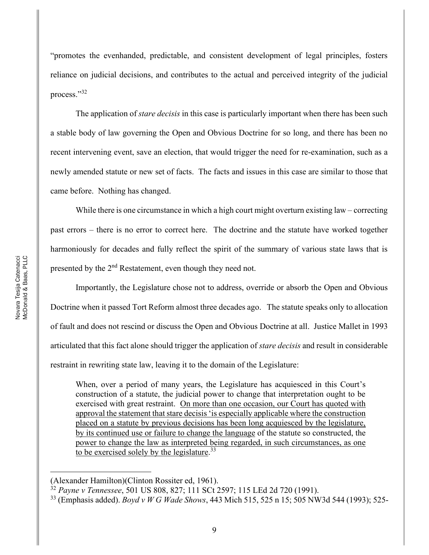³promotes the evenhanded, predictable, and consistent development of legal principles, fosters reliance on judicial decisions, and contributes to the actual and perceived integrity of the judicial process."32

The application of *stare decisis* in this case is particularly important when there has been such a stable body of law governing the Open and Obvious Doctrine for so long, and there has been no recent intervening event, save an election, that would trigger the need for re-examination, such as a newly amended statute or new set of facts. The facts and issues in this case are similar to those that came before. Nothing has changed.

While there is one circumstance in which a high court might overturn existing law  $-\text{correcting}$ past errors – there is no error to correct here. The doctrine and the statute have worked together harmoniously for decades and fully reflect the spirit of the summary of various state laws that is presented by the 2nd Restatement, even though they need not.

Importantly, the Legislature chose not to address, override or absorb the Open and Obvious Doctrine when it passed Tort Reform almost three decades ago. The statute speaks only to allocation of fault and does not rescind or discuss the Open and Obvious Doctrine at all. Justice Mallet in 1993 articulated that this fact alone should trigger the application of *stare decisis* and result in considerable restraint in rewriting state law, leaving it to the domain of the Legislature:

When, over a period of many years, the Legislature has acquiesced in this Court's construction of a statute, the judicial power to change that interpretation ought to be exercised with great restraint. On more than one occasion, our Court has quoted with approval the statement that stare decisis 'is especially applicable where the construction placed on a statute by previous decisions has been long acquiesced by the legislature, by its continued use or failure to change the language of the statute so constructed, the power to change the law as interpreted being regarded, in such circumstances, as one to be exercised solely by the legislature.<sup>33</sup>

<sup>(</sup>Alexander Hamilton)(Clinton Rossiter ed, 1961).

<sup>32</sup> *Payne v Tennessee*, 501 US 808, 827; 111 SCt 2597; 115 LEd 2d 720 (1991).

<sup>33</sup> (Emphasis added). *Boyd v W G Wade Shows*, 443 Mich 515, 525 n 15; 505 NW3d 544 (1993); 525-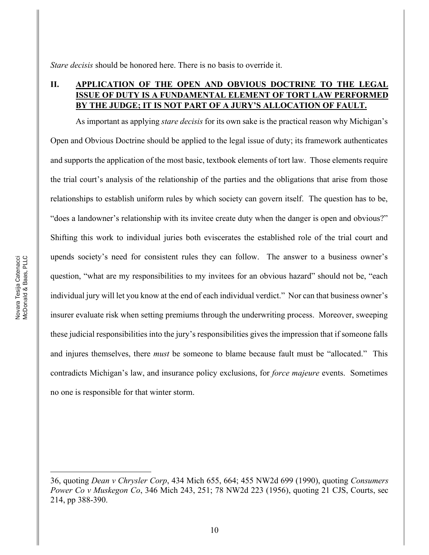*Stare decisis* should be honored here. There is no basis to override it.

# **II. APPLICATION OF THE OPEN AND OBVIOUS DOCTRINE TO THE LEGAL ISSUE OF DUTY IS A FUNDAMENTAL ELEMENT OF TORT LAW PERFORMED BY THE JUDGE; IT IS NOT PART OF A JURY¶S ALLOCATION OF FAULT.**

As important as applying *stare decisis* for its own sake is the practical reason why Michigan's Open and Obvious Doctrine should be applied to the legal issue of duty; its framework authenticates and supports the application of the most basic, textbook elements of tort law. Those elements require the trial court's analysis of the relationship of the parties and the obligations that arise from those relationships to establish uniform rules by which society can govern itself. The question has to be, "does a landowner's relationship with its invitee create duty when the danger is open and obvious?" Shifting this work to individual juries both eviscerates the established role of the trial court and upends society's need for consistent rules they can follow. The answer to a business owner's question, "what are my responsibilities to my invitees for an obvious hazard" should not be, "each individual jury will let you know at the end of each individual verdict." Nor can that business owner's insurer evaluate risk when setting premiums through the underwriting process. Moreover, sweeping these judicial responsibilities into the jury's responsibilities gives the impression that if someone falls and injures themselves, there *must* be someone to blame because fault must be "allocated." This contradicts Michigan's law, and insurance policy exclusions, for *force majeure* events. Sometimes no one is responsible for that winter storm.

<sup>36,</sup> quoting *Dean v Chrysler Corp*, 434 Mich 655, 664; 455 NW2d 699 (1990), quoting *Consumers Power Co v Muskegon Co*, 346 Mich 243, 251; 78 NW2d 223 (1956), quoting 21 CJS, Courts, sec 214, pp 388-390.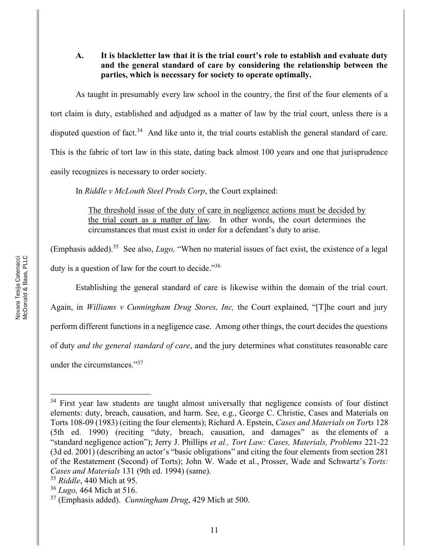#### **A. It is blackletter law that it is the trial court¶s role to establish and evaluate duty and the general standard of care by considering the relationship between the parties, which is necessary for society to operate optimally.**

As taught in presumably every law school in the country, the first of the four elements of a tort claim is duty, established and adjudged as a matter of law by the trial court, unless there is a disputed question of fact.<sup>34</sup> And like unto it, the trial courts establish the general standard of care. This is the fabric of tort law in this state, dating back almost 100 years and one that jurisprudence easily recognizes is necessary to order society.

In *Riddle v McLouth Steel Prods Corp*, the Court explained:

The threshold issue of the duty of care in negligence actions must be decided by the trial court as a matter of law. In other words, the court determines the circumstances that must exist in order for a defendant's duty to arise.

(Emphasis added).<sup>35</sup> See also, *Lugo*, "When no material issues of fact exist, the existence of a legal duty is a question of law for the court to decide.<sup> $36$ </sup>

Establishing the general standard of care is likewise within the domain of the trial court.

Again, in *Williams v Cunningham Drug Stores, Inc*, the Court explained, "[T]he court and jury perform different functions in a negligence case. Among other things, the court decides the questions of duty *and the general standard of care*, and the jury determines what constitutes reasonable care under the circumstances."<sup>37</sup>

<sup>&</sup>lt;sup>34</sup> First year law students are taught almost universally that negligence consists of four distinct elements: duty, breach, causation, and harm. See, e.g., George C. Christie, Cases and Materials on Torts 108-09 (1983) (citing the four elements); Richard A. Epstein, *Cases and Materials on Tor*t*s* 128 (5th ed. 1990) (reciting "duty, breach, causation, and damages" as the elements of a ³standard negligence action´); Jerry J. Phillips *et al., Tort Law: Cases, Materials, Problems* 221-22  $(3d$  ed. 2001) (describing an actor's "basic obligations" and citing the four elements from section 281 of the Restatement (Second) of Torts); John W. Wade et al., Prosser, Wade and Schwartz's *Torts: Cases and Materials* 131 (9th ed. 1994) (same).

<sup>35</sup> *Riddle*, 440 Mich at 95. 36 *Lugo,* 464 Mich at 516.

<sup>37</sup> (Emphasis added). *Cunningham Drug*, 429 Mich at 500.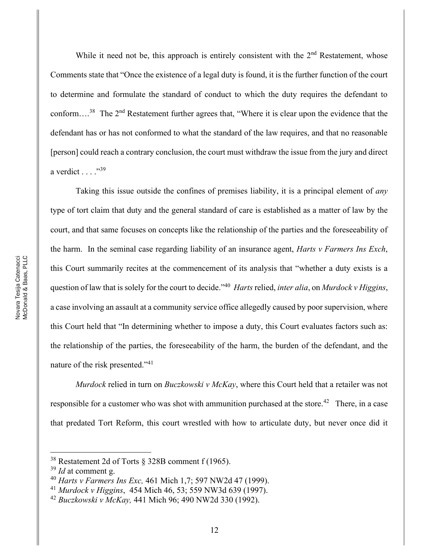While it need not be, this approach is entirely consistent with the  $2<sup>nd</sup>$  Restatement, whose Comments state that "Once the existence of a legal duty is found, it is the further function of the court to determine and formulate the standard of conduct to which the duty requires the defendant to conform....<sup>38</sup> The  $2<sup>nd</sup>$  Restatement further agrees that, "Where it is clear upon the evidence that the defendant has or has not conformed to what the standard of the law requires, and that no reasonable [person] could reach a contrary conclusion, the court must withdraw the issue from the jury and direct a verdict  $\ldots$  ...<sup>39</sup>

Taking this issue outside the confines of premises liability, it is a principal element of *any* type of tort claim that duty and the general standard of care is established as a matter of law by the court, and that same focuses on concepts like the relationship of the parties and the foreseeability of the harm. In the seminal case regarding liability of an insurance agent, *Harts v Farmers Ins Exch*, this Court summarily recites at the commencement of its analysis that "whether a duty exists is a question of law that is solely for the court to decide.´40 *Harts* relied, *inter alia*, on *Murdock v Higgins*, a case involving an assault at a community service office allegedly caused by poor supervision, where this Court held that "In determining whether to impose a duty, this Court evaluates factors such as: the relationship of the parties, the foreseeability of the harm, the burden of the defendant, and the nature of the risk presented.<sup>\*\*11</sup>

*Murdock* relied in turn on *Buczkowski v McKay*, where this Court held that a retailer was not responsible for a customer who was shot with ammunition purchased at the store.<sup>42</sup> There, in a case that predated Tort Reform, this court wrestled with how to articulate duty, but never once did it

<sup>38</sup> Restatement 2d of Torts § 328B comment f (1965).

<sup>39</sup> *Id* at comment g.

<sup>40</sup> *Harts v Farmers Ins Exc,* 461 Mich 1,7; 597 NW2d 47 (1999).

<sup>41</sup> *Murdock v Higgins*, 454 Mich 46, 53; 559 NW3d 639 (1997).

<sup>42</sup> *Buczkowski v McKay,* 441 Mich 96; 490 NW2d 330 (1992).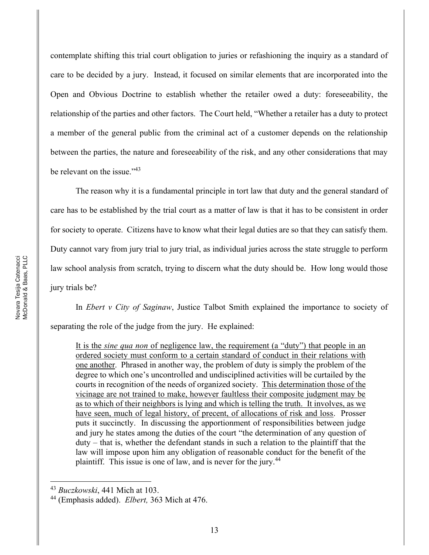contemplate shifting this trial court obligation to juries or refashioning the inquiry as a standard of care to be decided by a jury. Instead, it focused on similar elements that are incorporated into the Open and Obvious Doctrine to establish whether the retailer owed a duty: foreseeability, the relationship of the parties and other factors. The Court held, "Whether a retailer has a duty to protect a member of the general public from the criminal act of a customer depends on the relationship between the parties, the nature and foreseeability of the risk, and any other considerations that may be relevant on the issue."<sup>43</sup>

The reason why it is a fundamental principle in tort law that duty and the general standard of care has to be established by the trial court as a matter of law is that it has to be consistent in order for society to operate. Citizens have to know what their legal duties are so that they can satisfy them. Duty cannot vary from jury trial to jury trial, as individual juries across the state struggle to perform law school analysis from scratch, trying to discern what the duty should be. How long would those jury trials be?

In *Ebert v City of Saginaw*, Justice Talbot Smith explained the importance to society of separating the role of the judge from the jury. He explained:

It is the *sine qua non* of negligence law, the requirement (a "duty") that people in an ordered society must conform to a certain standard of conduct in their relations with one another. Phrased in another way, the problem of duty is simply the problem of the degree to which one's uncontrolled and undisciplined activities will be curtailed by the courts in recognition of the needs of organized society. This determination those of the vicinage are not trained to make, however faultless their composite judgment may be as to which of their neighbors is lying and which is telling the truth. It involves, as we have seen, much of legal history, of precent, of allocations of risk and loss. Prosser puts it succinctly. In discussing the apportionment of responsibilities between judge and jury he states among the duties of the court "the determination of any question of  $duty - that is, whether the defendant stands in such a relation to the plaintiff that the$ law will impose upon him any obligation of reasonable conduct for the benefit of the plaintiff. This issue is one of law, and is never for the jury.<sup>44</sup>

<sup>43</sup> *Buczkowski*, 441 Mich at 103.

<sup>44</sup> (Emphasis added). *Elbert,* 363 Mich at 476.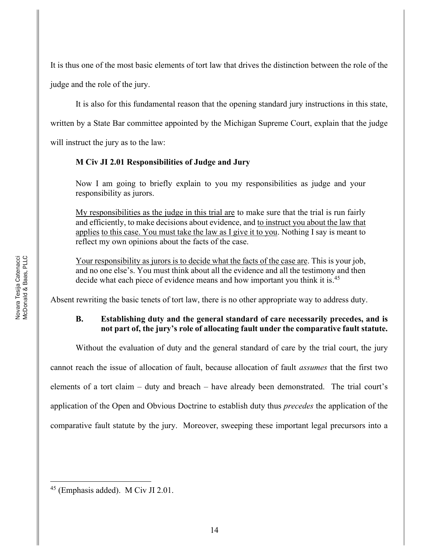It is thus one of the most basic elements of tort law that drives the distinction between the role of the judge and the role of the jury.

It is also for this fundamental reason that the opening standard jury instructions in this state,

written by a State Bar committee appointed by the Michigan Supreme Court, explain that the judge

will instruct the jury as to the law:

# **M Civ JI 2.01 Responsibilities of Judge and Jury**

Now I am going to briefly explain to you my responsibilities as judge and your responsibility as jurors.

My responsibilities as the judge in this trial are to make sure that the trial is run fairly and efficiently, to make decisions about evidence, and to instruct you about the law that applies to this case. You must take the law as I give it to you. Nothing I say is meant to reflect my own opinions about the facts of the case.

Your responsibility as jurors is to decide what the facts of the case are. This is your job, and no one else's. You must think about all the evidence and all the testimony and then decide what each piece of evidence means and how important you think it is.<sup>45</sup>

Absent rewriting the basic tenets of tort law, there is no other appropriate way to address duty.

### **B. Establishing duty and the general standard of care necessarily precedes, and is not part of, the jury¶s role of allocating fault under the comparative fault statute.**

Without the evaluation of duty and the general standard of care by the trial court, the jury

cannot reach the issue of allocation of fault, because allocation of fault *assumes* that the first two elements of a tort claim  $-$  duty and breach  $-$  have already been demonstrated. The trial court's application of the Open and Obvious Doctrine to establish duty thus *precedes* the application of the comparative fault statute by the jury. Moreover, sweeping these important legal precursors into a

<sup>45</sup> (Emphasis added). M Civ JI 2.01.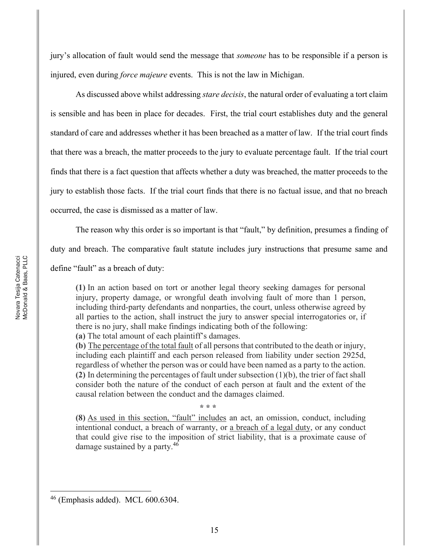jury¶s allocation of fault would send the message that *someone* has to be responsible if a person is injured, even during *force majeure* events. This is not the law in Michigan.

As discussed above whilst addressing *stare decisis*, the natural order of evaluating a tort claim is sensible and has been in place for decades. First, the trial court establishes duty and the general standard of care and addresses whether it has been breached as a matter of law. If the trial court finds that there was a breach, the matter proceeds to the jury to evaluate percentage fault. If the trial court finds that there is a fact question that affects whether a duty was breached, the matter proceeds to the jury to establish those facts. If the trial court finds that there is no factual issue, and that no breach occurred, the case is dismissed as a matter of law.

The reason why this order is so important is that "fault," by definition, presumes a finding of

duty and breach. The comparative fault statute includes jury instructions that presume same and

define "fault" as a breach of duty:

**(1)** In an action based on tort or another legal theory seeking damages for personal injury, property damage, or wrongful death involving fault of more than 1 person, including third-party defendants and nonparties, the court, unless otherwise agreed by all parties to the action, shall instruct the jury to answer special interrogatories or, if there is no jury, shall make findings indicating both of the following:

(a) The total amount of each plaintiff's damages.

**(b)** The percentage of the total fault of all persons that contributed to the death or injury, including each plaintiff and each person released from liability under section 2925d, regardless of whether the person was or could have been named as a party to the action. **(2)** In determining the percentages of fault under subsection (1)(b), the trier of fact shall consider both the nature of the conduct of each person at fault and the extent of the causal relation between the conduct and the damages claimed.

**\* \* \***

**(8)** As used in this section, "fault" includes an act, an omission, conduct, including intentional conduct, a breach of warranty, or a breach of a legal duty, or any conduct that could give rise to the imposition of strict liability, that is a proximate cause of damage sustained by a party.<sup>46</sup>

 $46$  (Emphasis added). MCL 600.6304.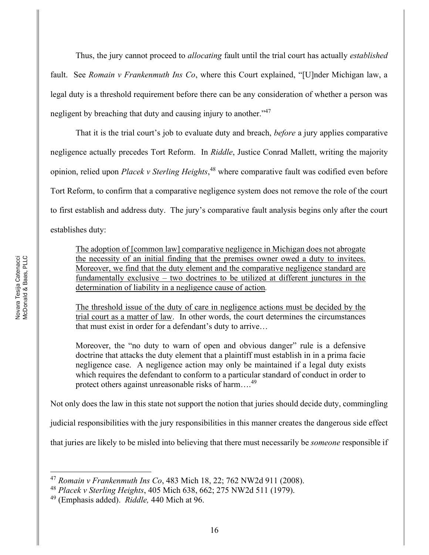Thus, the jury cannot proceed to *allocating* fault until the trial court has actually *established* fault. See *Romain v Frankenmuth Ins Co*, where this Court explained, "[U]nder Michigan law, a legal duty is a threshold requirement before there can be any consideration of whether a person was negligent by breaching that duty and causing injury to another.<sup>147</sup>

That it is the trial court's job to evaluate duty and breach, *before* a jury applies comparative negligence actually precedes Tort Reform. In *Riddle*, Justice Conrad Mallett, writing the majority opinion, relied upon *Placek v Sterling Heights*, <sup>48</sup> where comparative fault was codified even before Tort Reform, to confirm that a comparative negligence system does not remove the role of the court to first establish and address duty. The jury's comparative fault analysis begins only after the court establishes duty:

The adoption of [common law] comparative negligence in Michigan does not abrogate the necessity of an initial finding that the premises owner owed a duty to invitees. Moreover, we find that the duty element and the comparative negligence standard are fundamentally exclusive  $-$  two doctrines to be utilized at different junctures in the determination of liability in a negligence cause of action*.*

The threshold issue of the duty of care in negligence actions must be decided by the trial court as a matter of law. In other words, the court determines the circumstances that must exist in order for a defendant's duty to arrive...

Moreover, the "no duty to warn of open and obvious danger" rule is a defensive doctrine that attacks the duty element that a plaintiff must establish in in a prima facie negligence case. A negligence action may only be maintained if a legal duty exists which requires the defendant to conform to a particular standard of conduct in order to protect others against unreasonable risks of harm....<sup>49</sup>

Not only does the law in this state not support the notion that juries should decide duty, commingling

judicial responsibilities with the jury responsibilities in this manner creates the dangerous side effect

that juries are likely to be misled into believing that there must necessarily be *someone* responsible if

<sup>47</sup> *Romain v Frankenmuth Ins Co*, 483 Mich 18, 22; 762 NW2d 911 (2008).

<sup>48</sup> *Placek v Sterling Heights*, 405 Mich 638, 662; 275 NW2d 511 (1979).

<sup>49</sup> (Emphasis added). *Riddle,* 440 Mich at 96.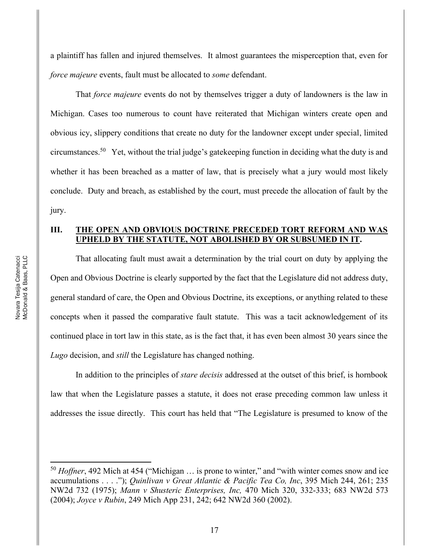a plaintiff has fallen and injured themselves. It almost guarantees the misperception that, even for *force majeure* events, fault must be allocated to *some* defendant.

That *force majeure* events do not by themselves trigger a duty of landowners is the law in Michigan. Cases too numerous to count have reiterated that Michigan winters create open and obvious icy, slippery conditions that create no duty for the landowner except under special, limited circumstances.<sup>50</sup> Yet, without the trial judge's gatekeeping function in deciding what the duty is and whether it has been breached as a matter of law, that is precisely what a jury would most likely conclude. Duty and breach, as established by the court, must precede the allocation of fault by the jury.

#### **III. THE OPEN AND OBVIOUS DOCTRINE PRECEDED TORT REFORM AND WAS UPHELD BY THE STATUTE, NOT ABOLISHED BY OR SUBSUMED IN IT.**

That allocating fault must await a determination by the trial court on duty by applying the Open and Obvious Doctrine is clearly supported by the fact that the Legislature did not address duty, general standard of care, the Open and Obvious Doctrine, its exceptions, or anything related to these concepts when it passed the comparative fault statute. This was a tacit acknowledgement of its continued place in tort law in this state, as is the fact that, it has even been almost 30 years since the *Lugo* decision, and *still* the Legislature has changed nothing.

In addition to the principles of *stare decisis* addressed at the outset of this brief, is hornbook law that when the Legislature passes a statute, it does not erase preceding common law unless it addresses the issue directly. This court has held that "The Legislature is presumed to know of the

 $50$  *Hoffner*, 492 Mich at 454 ("Michigan ... is prone to winter," and "with winter comes snow and ice accumulations . . . .´); *Quinlivan v Great Atlantic & Pacific Tea Co, Inc*, 395 Mich 244, 261; 235 NW2d 732 (1975); *Mann v Shusteric Enterprises, Inc,* 470 Mich 320, 332-333; 683 NW2d 573 (2004); *Joyce v Rubin*, 249 Mich App 231, 242; 642 NW2d 360 (2002).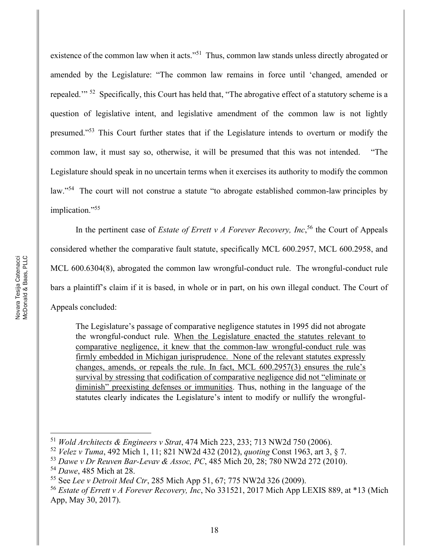existence of the common law when it acts."<sup>51</sup> Thus, common law stands unless directly abrogated or amended by the Legislature: "The common law remains in force until 'changed, amended or repealed."<sup>52</sup> Specifically, this Court has held that, "The abrogative effect of a statutory scheme is a question of legislative intent, and legislative amendment of the common law is not lightly presumed.<sup>"53</sup> This Court further states that if the Legislature intends to overturn or modify the common law, it must say so, otherwise, it will be presumed that this was not intended. "The Legislature should speak in no uncertain terms when it exercises its authority to modify the common law."<sup>54</sup> The court will not construe a statute "to abrogate established common-law principles by implication."<sup>55</sup>

In the pertinent case of *Estate of Errett v A Forever Recovery, Inc*,<sup>56</sup> the Court of Appeals considered whether the comparative fault statute, specifically MCL 600.2957, MCL 600.2958, and MCL 600.6304(8), abrogated the common law wrongful-conduct rule. The wrongful-conduct rule bars a plaintiff's claim if it is based, in whole or in part, on his own illegal conduct. The Court of Appeals concluded:

The Legislature's passage of comparative negligence statutes in 1995 did not abrogate the wrongful-conduct rule. When the Legislature enacted the statutes relevant to comparative negligence, it knew that the common-law wrongful-conduct rule was firmly embedded in Michigan jurisprudence. None of the relevant statutes expressly changes, amends, or repeals the rule. In fact, MCL  $600.2957(3)$  ensures the rule's survival by stressing that codification of comparative negligence did not "eliminate or diminish" preexisting defenses or immunities. Thus, nothing in the language of the statutes clearly indicates the Legislature's intent to modify or nullify the wrongful-

<sup>51</sup> *Wold Architects & Engineers v Strat*, 474 Mich 223, 233; 713 NW2d 750 (2006).

<sup>52</sup> *Velez v Tuma*, 492 Mich 1, 11; 821 NW2d 432 (2012), *quoting* Const 1963, art 3, § 7.

<sup>53</sup> *Dawe v Dr Reuven Bar-Levav & Assoc, PC*, 485 Mich 20, 28; 780 NW2d 272 (2010).

<sup>54</sup> *Dawe*, 485 Mich at 28.

<sup>55</sup> See *Lee v Detroit Med Ctr*, 285 Mich App 51, 67; 775 NW2d 326 (2009).

<sup>56</sup> *Estate of Errett v A Forever Recovery, Inc*, No 331521, 2017 Mich App LEXIS 889, at \*13 (Mich App, May 30, 2017).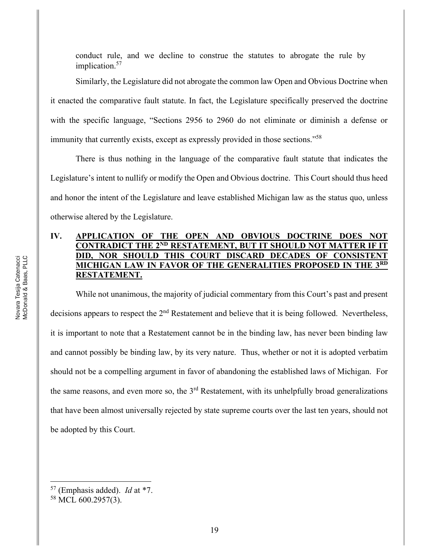conduct rule, and we decline to construe the statutes to abrogate the rule by implication.<sup>57</sup>

Similarly, the Legislature did not abrogate the common law Open and Obvious Doctrine when it enacted the comparative fault statute. In fact, the Legislature specifically preserved the doctrine with the specific language, "Sections 2956 to 2960 do not eliminate or diminish a defense or immunity that currently exists, except as expressly provided in those sections.<sup>758</sup>

There is thus nothing in the language of the comparative fault statute that indicates the Legislature's intent to nullify or modify the Open and Obvious doctrine. This Court should thus heed and honor the intent of the Legislature and leave established Michigan law as the status quo, unless otherwise altered by the Legislature.

### **IV. APPLICATION OF THE OPEN AND OBVIOUS DOCTRINE DOES NOT CONTRADICT THE 2ND RESTATEMENT, BUT IT SHOULD NOT MATTER IF IT DID, NOR SHOULD THIS COURT DISCARD DECADES OF CONSISTENT MICHIGAN LAW IN FAVOR OF THE GENERALITIES PROPOSED IN THE 3RD RESTATEMENT.**

While not unanimous, the majority of judicial commentary from this Court's past and present decisions appears to respect the 2<sup>nd</sup> Restatement and believe that it is being followed. Nevertheless, it is important to note that a Restatement cannot be in the binding law, has never been binding law and cannot possibly be binding law, by its very nature. Thus, whether or not it is adopted verbatim should not be a compelling argument in favor of abandoning the established laws of Michigan. For the same reasons, and even more so, the 3<sup>rd</sup> Restatement, with its unhelpfully broad generalizations that have been almost universally rejected by state supreme courts over the last ten years, should not be adopted by this Court.

<sup>57</sup> (Emphasis added). *Id* at \*7.

<sup>58</sup> MCL 600.2957(3).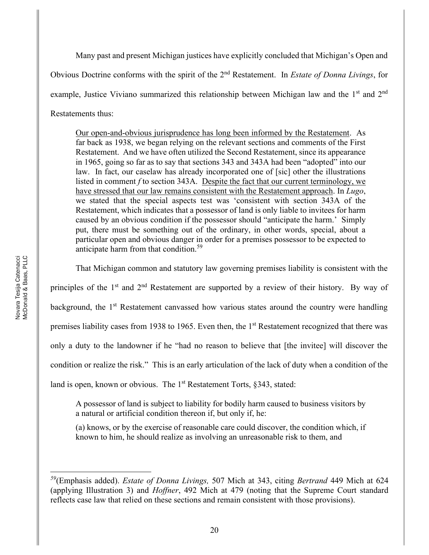Many past and present Michigan justices have explicitly concluded that Michigan's Open and Obvious Doctrine conforms with the spirit of the 2nd Restatement. In *Estate of Donna Livings*, for example, Justice Viviano summarized this relationship between Michigan law and the 1<sup>st</sup> and 2<sup>nd</sup> Restatements thus:

Our open-and-obvious jurisprudence has long been informed by the Restatement. As far back as 1938, we began relying on the relevant sections and comments of the First Restatement. And we have often utilized the Second Restatement, since its appearance in 1965, going so far as to say that sections 343 and 343A had been "adopted" into our law. In fact, our caselaw has already incorporated one of [sic] other the illustrations listed in comment *f* to section 343A. Despite the fact that our current terminology, we have stressed that our law remains consistent with the Restatement approach. In *Lugo*, we stated that the special aspects test was 'consistent with section 343A of the Restatement, which indicates that a possessor of land is only liable to invitees for harm caused by an obvious condition if the possessor should "anticipate the harm." Simply put, there must be something out of the ordinary, in other words, special, about a particular open and obvious danger in order for a premises possessor to be expected to anticipate harm from that condition.<sup>59</sup>

That Michigan common and statutory law governing premises liability is consistent with the

principles of the 1<sup>st</sup> and 2<sup>nd</sup> Restatement are supported by a review of their history. By way of background, the 1<sup>st</sup> Restatement canvassed how various states around the country were handling premises liability cases from 1938 to 1965. Even then, the 1<sup>st</sup> Restatement recognized that there was only a duty to the landowner if he "had no reason to believe that [the invitee] will discover the condition or realize the risk." This is an early articulation of the lack of duty when a condition of the land is open, known or obvious. The  $1<sup>st</sup>$  Restatement Torts, §343, stated:

A possessor of land is subject to liability for bodily harm caused to business visitors by a natural or artificial condition thereon if, but only if, he:

(a) knows, or by the exercise of reasonable care could discover, the condition which, if known to him, he should realize as involving an unreasonable risk to them, and

*<sup>59</sup>*(Emphasis added). *Estate of Donna Livings,* 507 Mich at 343, citing *Bertrand* 449 Mich at 624 (applying Illustration 3) and *Hoffner*, 492 Mich at 479 (noting that the Supreme Court standard reflects case law that relied on these sections and remain consistent with those provisions).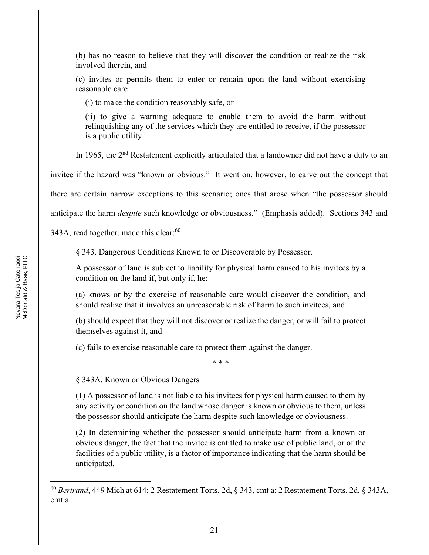(b) has no reason to believe that they will discover the condition or realize the risk involved therein, and

(c) invites or permits them to enter or remain upon the land without exercising reasonable care

(i) to make the condition reasonably safe, or

(ii) to give a warning adequate to enable them to avoid the harm without relinquishing any of the services which they are entitled to receive, if the possessor is a public utility.

In 1965, the 2<sup>nd</sup> Restatement explicitly articulated that a landowner did not have a duty to an

invitee if the hazard was "known or obvious." It went on, however, to carve out the concept that

there are certain narrow exceptions to this scenario; ones that arose when "the possessor should

anticipate the harm *despite* such knowledge or obviousness." (Emphasis added). Sections 343 and

343A, read together, made this clear:<sup>60</sup>

§ 343. Dangerous Conditions Known to or Discoverable by Possessor.

A possessor of land is subject to liability for physical harm caused to his invitees by a condition on the land if, but only if, he:

(a) knows or by the exercise of reasonable care would discover the condition, and should realize that it involves an unreasonable risk of harm to such invitees, and

(b) should expect that they will not discover or realize the danger, or will fail to protect themselves against it, and

(c) fails to exercise reasonable care to protect them against the danger.

\* \* \*

§ 343A. Known or Obvious Dangers

(1) A possessor of land is not liable to his invitees for physical harm caused to them by any activity or condition on the land whose danger is known or obvious to them, unless the possessor should anticipate the harm despite such knowledge or obviousness.

(2) In determining whether the possessor should anticipate harm from a known or obvious danger, the fact that the invitee is entitled to make use of public land, or of the facilities of a public utility, is a factor of importance indicating that the harm should be anticipated.

<sup>60</sup> *Bertrand*, 449 Mich at 614; 2 Restatement Torts, 2d, § 343, cmt a; 2 Restatement Torts, 2d, § 343A, cmt a.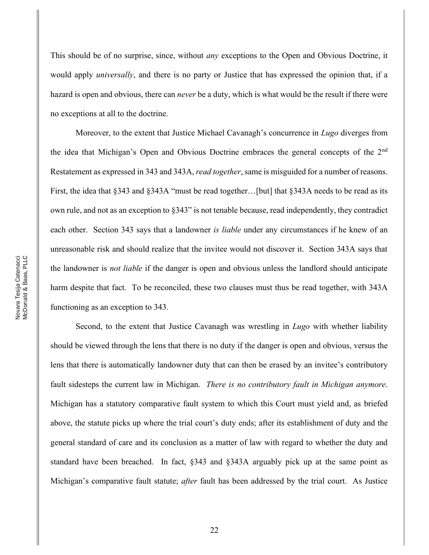This should be of no surprise, since, without *any* exceptions to the Open and Obvious Doctrine, it would apply *universally*, and there is no party or Justice that has expressed the opinion that, if a hazard is open and obvious, there can *never* be a duty, which is what would be the result if there were no exceptions at all to the doctrine.

Moreover, to the extent that Justice Michael Cavanagh's concurrence in *Lugo* diverges from the idea that Michigan's Open and Obvious Doctrine embraces the general concepts of the  $2<sup>nd</sup>$ Restatement as expressed in 343 and 343A, *read together*, same is misguided for a number of reasons. First, the idea that  $\S 343$  and  $\S 343A$  "must be read together... [but] that  $\S 343A$  needs to be read as its own rule, and not as an exception to  $§343"$  is not tenable because, read independently, they contradict each other. Section 343 says that a landowner *is liable* under any circumstances if he knew of an unreasonable risk and should realize that the invitee would not discover it. Section 343A says that the landowner is *not liable* if the danger is open and obvious unless the landlord should anticipate harm despite that fact. To be reconciled, these two clauses must thus be read together, with 343A functioning as an exception to 343.

Second, to the extent that Justice Cavanagh was wrestling in *Lugo* with whether liability should be viewed through the lens that there is no duty if the danger is open and obvious, versus the lens that there is automatically landowner duty that can then be erased by an invitee's contributory fault sidesteps the current law in Michigan. *There is no contributory fault in Michigan anymore*. Michigan has a statutory comparative fault system to which this Court must yield and, as briefed above, the statute picks up where the trial court's duty ends; after its establishment of duty and the general standard of care and its conclusion as a matter of law with regard to whether the duty and standard have been breached. In fact, §343 and §343A arguably pick up at the same point as Michigan's comparative fault statute; *after* fault has been addressed by the trial court. As Justice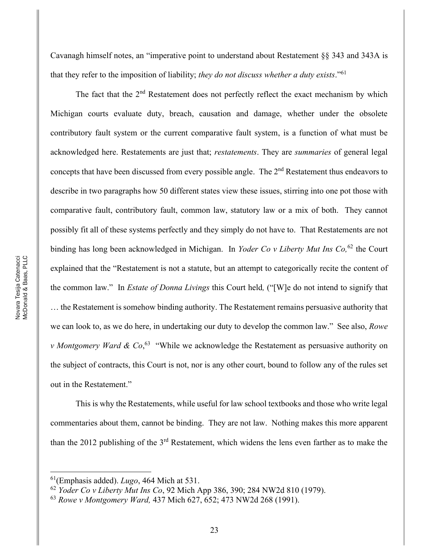Cavanagh himself notes, an "imperative point to understand about Restatement  $\S$ § 343 and 343A is that they refer to the imposition of liability; *they do not discuss whether a duty exists*."<sup>61</sup>

The fact that the  $2<sup>nd</sup>$  Restatement does not perfectly reflect the exact mechanism by which Michigan courts evaluate duty, breach, causation and damage, whether under the obsolete contributory fault system or the current comparative fault system, is a function of what must be acknowledged here. Restatements are just that; *restatements*. They are *summaries* of general legal concepts that have been discussed from every possible angle. The 2<sup>nd</sup> Restatement thus endeavors to describe in two paragraphs how 50 different states view these issues, stirring into one pot those with comparative fault, contributory fault, common law, statutory law or a mix of both. They cannot possibly fit all of these systems perfectly and they simply do not have to. That Restatements are not binding has long been acknowledged in Michigan. In *Yoder Co v Liberty Mut Ins Co,*<sup>62</sup> the Court explained that the "Restatement is not a statute, but an attempt to categorically recite the content of the common law." In *Estate of Donna Livings* this Court held, <sup>"</sup>[W] e do not intend to signify that ... the Restatement is somehow binding authority. The Restatement remains persuasive authority that we can look to, as we do here, in undertaking our duty to develop the common law." See also, *Rowe v Montgomery Ward & Co*,<sup>63</sup> "While we acknowledge the Restatement as persuasive authority on the subject of contracts, this Court is not, nor is any other court, bound to follow any of the rules set out in the Restatement."

This is why the Restatements, while useful for law school textbooks and those who write legal commentaries about them, cannot be binding. They are not law. Nothing makes this more apparent than the 2012 publishing of the 3rd Restatement, which widens the lens even farther as to make the

<sup>61(</sup>Emphasis added). *Lugo*, 464 Mich at 531.

<sup>62</sup> *Yoder Co v Liberty Mut Ins Co*, 92 Mich App 386, 390; 284 NW2d 810 (1979).

<sup>63</sup> *Rowe v Montgomery Ward,* 437 Mich 627, 652; 473 NW2d 268 (1991).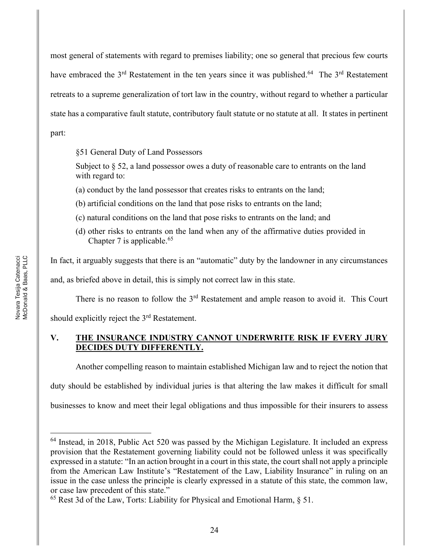most general of statements with regard to premises liability; one so general that precious few courts have embraced the 3<sup>rd</sup> Restatement in the ten years since it was published.<sup>64</sup> The 3<sup>rd</sup> Restatement retreats to a supreme generalization of tort law in the country, without regard to whether a particular state has a comparative fault statute, contributory fault statute or no statute at all. It states in pertinent part:

§51 General Duty of Land Possessors

Subject to  $\S 52$ , a land possessor owes a duty of reasonable care to entrants on the land with regard to:

(a) conduct by the land possessor that creates risks to entrants on the land;

- (b) artificial conditions on the land that pose risks to entrants on the land;
- (c) natural conditions on the land that pose risks to entrants on the land; and
- (d) other risks to entrants on the land when any of the affirmative duties provided in Chapter 7 is applicable.<sup>65</sup>

In fact, it arguably suggests that there is an "automatic" duty by the landowner in any circumstances

and, as briefed above in detail, this is simply not correct law in this state.

There is no reason to follow the 3<sup>rd</sup> Restatement and ample reason to avoid it. This Court

should explicitly reject the 3rd Restatement.

# **V. THE INSURANCE INDUSTRY CANNOT UNDERWRITE RISK IF EVERY JURY DECIDES DUTY DIFFERENTLY.**

Another compelling reason to maintain established Michigan law and to reject the notion that

duty should be established by individual juries is that altering the law makes it difficult for small

businesses to know and meet their legal obligations and thus impossible for their insurers to assess

<sup>&</sup>lt;sup>64</sup> Instead, in 2018, Public Act 520 was passed by the Michigan Legislature. It included an express provision that the Restatement governing liability could not be followed unless it was specifically expressed in a statute: "In an action brought in a court in this state, the court shall not apply a principle from the American Law Institute's "Restatement of the Law, Liability Insurance" in ruling on an issue in the case unless the principle is clearly expressed in a statute of this state, the common law, or case law precedent of this state.´

<sup>65</sup> Rest 3d of the Law, Torts: Liability for Physical and Emotional Harm, § 51.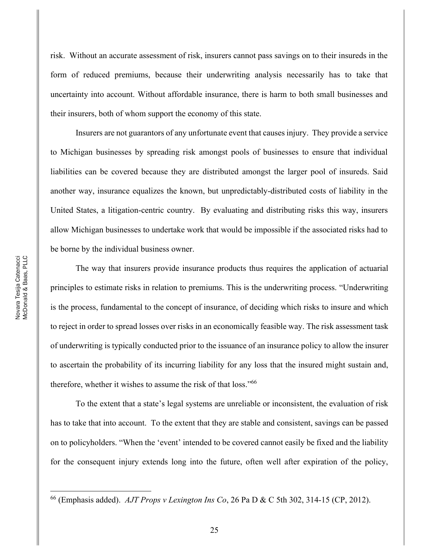risk. Without an accurate assessment of risk, insurers cannot pass savings on to their insureds in the form of reduced premiums, because their underwriting analysis necessarily has to take that uncertainty into account. Without affordable insurance, there is harm to both small businesses and their insurers, both of whom support the economy of this state.

Insurers are not guarantors of any unfortunate event that causes injury. They provide a service to Michigan businesses by spreading risk amongst pools of businesses to ensure that individual liabilities can be covered because they are distributed amongst the larger pool of insureds. Said another way, insurance equalizes the known, but unpredictably-distributed costs of liability in the United States, a litigation-centric country. By evaluating and distributing risks this way, insurers allow Michigan businesses to undertake work that would be impossible if the associated risks had to be borne by the individual business owner.

The way that insurers provide insurance products thus requires the application of actuarial principles to estimate risks in relation to premiums. This is the underwriting process. "Underwriting is the process, fundamental to the concept of insurance, of deciding which risks to insure and which to reject in order to spread losses over risks in an economically feasible way. The risk assessment task of underwriting is typically conducted prior to the issuance of an insurance policy to allow the insurer to ascertain the probability of its incurring liability for any loss that the insured might sustain and, therefore, whether it wishes to assume the risk of that loss.<sup>766</sup>

To the extent that a state's legal systems are unreliable or inconsistent, the evaluation of risk has to take that into account. To the extent that they are stable and consistent, savings can be passed on to policyholders. "When the 'event' intended to be covered cannot easily be fixed and the liability for the consequent injury extends long into the future, often well after expiration of the policy,

<sup>66</sup> (Emphasis added). *AJT Props v Lexington Ins Co*, 26 Pa D & C 5th 302, 314-15 (CP, 2012).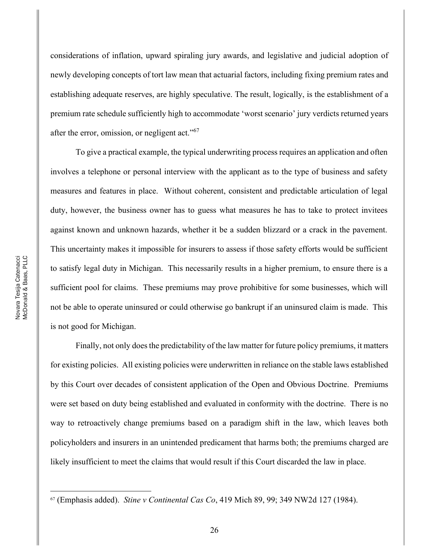considerations of inflation, upward spiraling jury awards, and legislative and judicial adoption of newly developing concepts of tort law mean that actuarial factors, including fixing premium rates and establishing adequate reserves, are highly speculative. The result, logically, is the establishment of a premium rate schedule sufficiently high to accommodate 'worst scenario' jury verdicts returned years after the error, omission, or negligent act. $10^{67}$ 

To give a practical example, the typical underwriting process requires an application and often involves a telephone or personal interview with the applicant as to the type of business and safety measures and features in place. Without coherent, consistent and predictable articulation of legal duty, however, the business owner has to guess what measures he has to take to protect invitees against known and unknown hazards, whether it be a sudden blizzard or a crack in the pavement. This uncertainty makes it impossible for insurers to assess if those safety efforts would be sufficient to satisfy legal duty in Michigan. This necessarily results in a higher premium, to ensure there is a sufficient pool for claims. These premiums may prove prohibitive for some businesses, which will not be able to operate uninsured or could otherwise go bankrupt if an uninsured claim is made. This is not good for Michigan.

Finally, not only does the predictability of the law matter for future policy premiums, it matters for existing policies. All existing policies were underwritten in reliance on the stable laws established by this Court over decades of consistent application of the Open and Obvious Doctrine. Premiums were set based on duty being established and evaluated in conformity with the doctrine. There is no way to retroactively change premiums based on a paradigm shift in the law, which leaves both policyholders and insurers in an unintended predicament that harms both; the premiums charged are likely insufficient to meet the claims that would result if this Court discarded the law in place.

<sup>67</sup> (Emphasis added). *Stine v Continental Cas Co*, 419 Mich 89, 99; 349 NW2d 127 (1984).